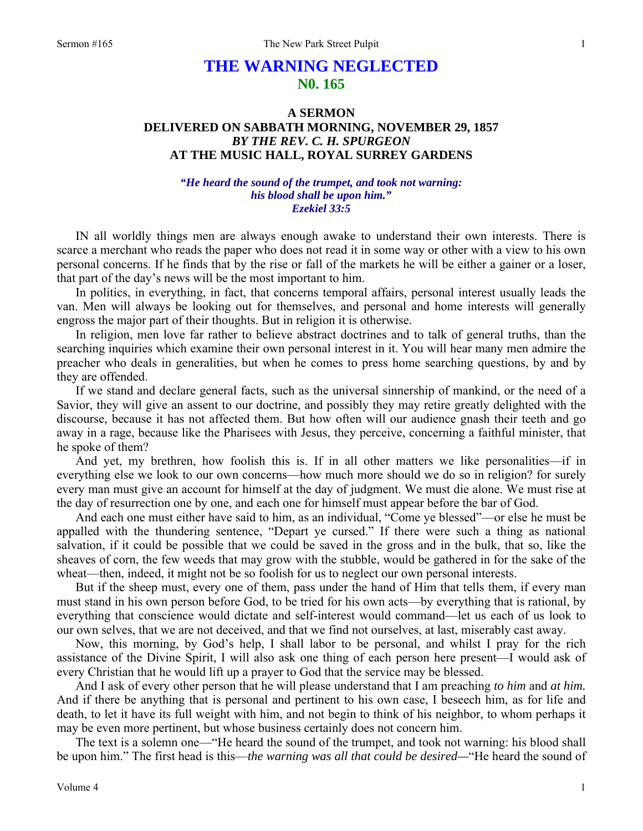## **THE WARNING NEGLECTED N0. 165**

## **A SERMON DELIVERED ON SABBATH MORNING, NOVEMBER 29, 1857**  *BY THE REV. C. H. SPURGEON*  **AT THE MUSIC HALL, ROYAL SURREY GARDENS**

## *"He heard the sound of the trumpet, and took not warning: his blood shall be upon him." Ezekiel 33:5*

IN all worldly things men are always enough awake to understand their own interests. There is scarce a merchant who reads the paper who does not read it in some way or other with a view to his own personal concerns. If he finds that by the rise or fall of the markets he will be either a gainer or a loser, that part of the day's news will be the most important to him.

In politics, in everything, in fact, that concerns temporal affairs, personal interest usually leads the van. Men will always be looking out for themselves, and personal and home interests will generally engross the major part of their thoughts. But in religion it is otherwise.

In religion, men love far rather to believe abstract doctrines and to talk of general truths, than the searching inquiries which examine their own personal interest in it. You will hear many men admire the preacher who deals in generalities, but when he comes to press home searching questions, by and by they are offended.

If we stand and declare general facts, such as the universal sinnership of mankind, or the need of a Savior, they will give an assent to our doctrine, and possibly they may retire greatly delighted with the discourse, because it has not affected them. But how often will our audience gnash their teeth and go away in a rage, because like the Pharisees with Jesus, they perceive, concerning a faithful minister, that he spoke of them?

And yet, my brethren, how foolish this is. If in all other matters we like personalities—if in everything else we look to our own concerns—how much more should we do so in religion? for surely every man must give an account for himself at the day of judgment. We must die alone. We must rise at the day of resurrection one by one, and each one for himself must appear before the bar of God.

And each one must either have said to him, as an individual, "Come ye blessed"—or else he must be appalled with the thundering sentence, "Depart ye cursed." If there were such a thing as national salvation, if it could be possible that we could be saved in the gross and in the bulk, that so, like the sheaves of corn, the few weeds that may grow with the stubble, would be gathered in for the sake of the wheat—then, indeed, it might not be so foolish for us to neglect our own personal interests.

But if the sheep must, every one of them, pass under the hand of Him that tells them, if every man must stand in his own person before God, to be tried for his own acts—by everything that is rational, by everything that conscience would dictate and self-interest would command—let us each of us look to our own selves, that we are not deceived, and that we find not ourselves, at last, miserably cast away.

Now, this morning, by God's help, I shall labor to be personal, and whilst I pray for the rich assistance of the Divine Spirit, I will also ask one thing of each person here present—I would ask of every Christian that he would lift up a prayer to God that the service may be blessed.

And I ask of every other person that he will please understand that I am preaching *to him* and *at him.* And if there be anything that is personal and pertinent to his own case, I beseech him, as for life and death, to let it have its full weight with him, and not begin to think of his neighbor, to whom perhaps it may be even more pertinent, but whose business certainly does not concern him.

The text is a solemn one—"He heard the sound of the trumpet, and took not warning: his blood shall be upon him." The first head is this—*the warning was all that could be desired—*"He heard the sound of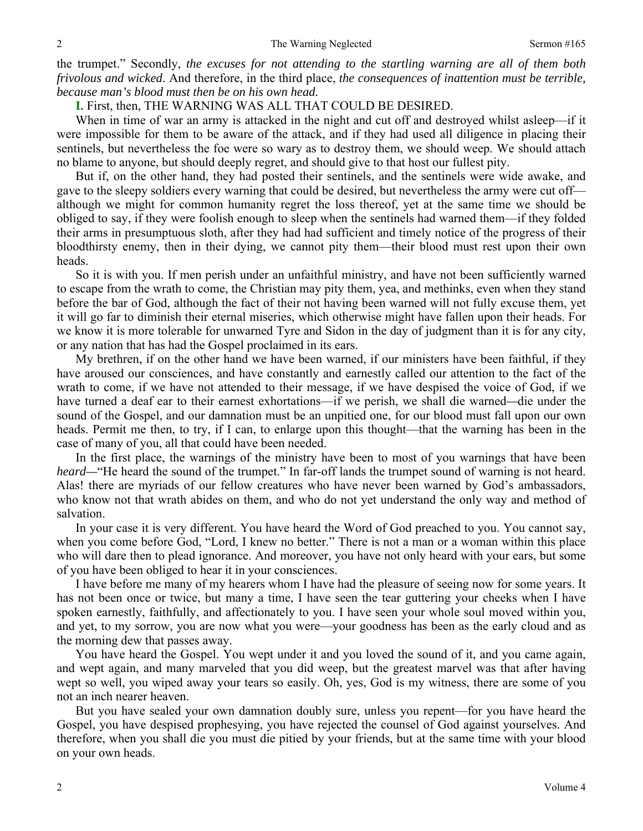the trumpet." Secondly, *the excuses for not attending to the startling warning are all of them both frivolous and wicked*. And therefore, in the third place, *the consequences of inattention must be terrible, because man's blood must then be on his own head.*

**I.** First, then, THE WARNING WAS ALL THAT COULD BE DESIRED.

When in time of war an army is attacked in the night and cut off and destroyed whilst asleep—if it were impossible for them to be aware of the attack, and if they had used all diligence in placing their sentinels, but nevertheless the foe were so wary as to destroy them, we should weep. We should attach no blame to anyone, but should deeply regret, and should give to that host our fullest pity.

But if, on the other hand, they had posted their sentinels, and the sentinels were wide awake, and gave to the sleepy soldiers every warning that could be desired, but nevertheless the army were cut off although we might for common humanity regret the loss thereof, yet at the same time we should be obliged to say, if they were foolish enough to sleep when the sentinels had warned them—if they folded their arms in presumptuous sloth, after they had had sufficient and timely notice of the progress of their bloodthirsty enemy, then in their dying, we cannot pity them—their blood must rest upon their own heads.

So it is with you. If men perish under an unfaithful ministry, and have not been sufficiently warned to escape from the wrath to come, the Christian may pity them, yea, and methinks, even when they stand before the bar of God, although the fact of their not having been warned will not fully excuse them, yet it will go far to diminish their eternal miseries, which otherwise might have fallen upon their heads. For we know it is more tolerable for unwarned Tyre and Sidon in the day of judgment than it is for any city, or any nation that has had the Gospel proclaimed in its ears.

My brethren, if on the other hand we have been warned, if our ministers have been faithful, if they have aroused our consciences, and have constantly and earnestly called our attention to the fact of the wrath to come, if we have not attended to their message, if we have despised the voice of God, if we have turned a deaf ear to their earnest exhortations—if we perish, we shall die warned*—*die under the sound of the Gospel, and our damnation must be an unpitied one, for our blood must fall upon our own heads. Permit me then, to try, if I can, to enlarge upon this thought—that the warning has been in the case of many of you, all that could have been needed.

In the first place, the warnings of the ministry have been to most of you warnings that have been *heard—*"He heard the sound of the trumpet." In far-off lands the trumpet sound of warning is not heard. Alas! there are myriads of our fellow creatures who have never been warned by God's ambassadors, who know not that wrath abides on them, and who do not yet understand the only way and method of salvation.

In your case it is very different. You have heard the Word of God preached to you. You cannot say, when you come before God, "Lord, I knew no better." There is not a man or a woman within this place who will dare then to plead ignorance. And moreover, you have not only heard with your ears, but some of you have been obliged to hear it in your consciences.

I have before me many of my hearers whom I have had the pleasure of seeing now for some years. It has not been once or twice, but many a time, I have seen the tear guttering your cheeks when I have spoken earnestly, faithfully, and affectionately to you. I have seen your whole soul moved within you, and yet, to my sorrow, you are now what you were—your goodness has been as the early cloud and as the morning dew that passes away.

You have heard the Gospel. You wept under it and you loved the sound of it, and you came again, and wept again, and many marveled that you did weep, but the greatest marvel was that after having wept so well, you wiped away your tears so easily. Oh, yes, God is my witness, there are some of you not an inch nearer heaven.

But you have sealed your own damnation doubly sure, unless you repent—for you have heard the Gospel, you have despised prophesying, you have rejected the counsel of God against yourselves. And therefore, when you shall die you must die pitied by your friends, but at the same time with your blood on your own heads.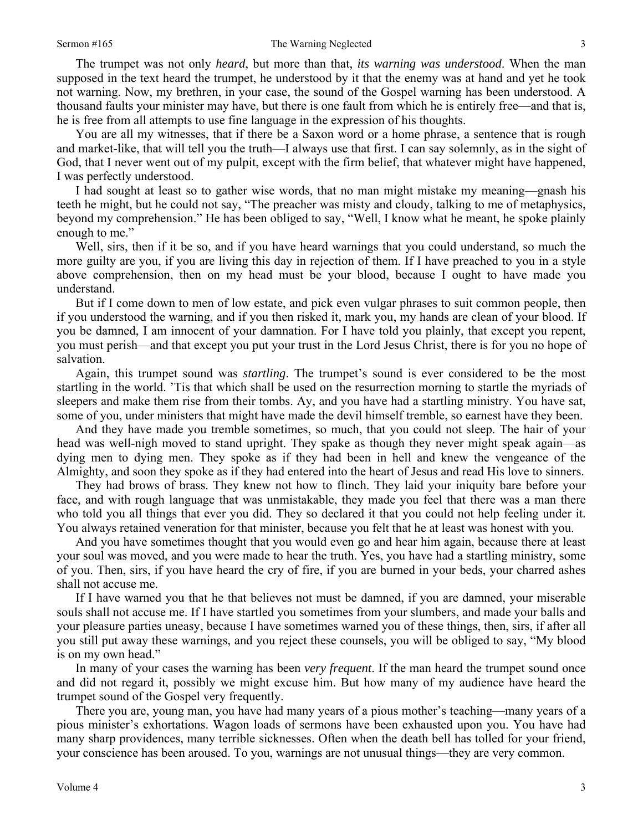## Sermon #165 The Warning Neglected

The trumpet was not only *heard*, but more than that, *its warning was understood*. When the man supposed in the text heard the trumpet, he understood by it that the enemy was at hand and yet he took not warning. Now, my brethren, in your case, the sound of the Gospel warning has been understood. A thousand faults your minister may have, but there is one fault from which he is entirely free—and that is, he is free from all attempts to use fine language in the expression of his thoughts.

You are all my witnesses, that if there be a Saxon word or a home phrase, a sentence that is rough and market-like, that will tell you the truth—I always use that first. I can say solemnly, as in the sight of God, that I never went out of my pulpit, except with the firm belief, that whatever might have happened, I was perfectly understood.

I had sought at least so to gather wise words, that no man might mistake my meaning—gnash his teeth he might, but he could not say, "The preacher was misty and cloudy, talking to me of metaphysics, beyond my comprehension." He has been obliged to say, "Well, I know what he meant, he spoke plainly enough to me."

Well, sirs, then if it be so, and if you have heard warnings that you could understand, so much the more guilty are you, if you are living this day in rejection of them. If I have preached to you in a style above comprehension, then on my head must be your blood, because I ought to have made you understand.

But if I come down to men of low estate, and pick even vulgar phrases to suit common people, then if you understood the warning, and if you then risked it, mark you, my hands are clean of your blood. If you be damned, I am innocent of your damnation. For I have told you plainly, that except you repent, you must perish—and that except you put your trust in the Lord Jesus Christ, there is for you no hope of salvation.

Again, this trumpet sound was *startling*. The trumpet's sound is ever considered to be the most startling in the world. 'Tis that which shall be used on the resurrection morning to startle the myriads of sleepers and make them rise from their tombs. Ay, and you have had a startling ministry. You have sat, some of you, under ministers that might have made the devil himself tremble, so earnest have they been.

And they have made you tremble sometimes, so much, that you could not sleep. The hair of your head was well-nigh moved to stand upright. They spake as though they never might speak again—as dying men to dying men. They spoke as if they had been in hell and knew the vengeance of the Almighty, and soon they spoke as if they had entered into the heart of Jesus and read His love to sinners.

They had brows of brass. They knew not how to flinch. They laid your iniquity bare before your face, and with rough language that was unmistakable, they made you feel that there was a man there who told you all things that ever you did. They so declared it that you could not help feeling under it. You always retained veneration for that minister, because you felt that he at least was honest with you.

And you have sometimes thought that you would even go and hear him again, because there at least your soul was moved, and you were made to hear the truth. Yes, you have had a startling ministry, some of you. Then, sirs, if you have heard the cry of fire, if you are burned in your beds, your charred ashes shall not accuse me.

If I have warned you that he that believes not must be damned, if you are damned, your miserable souls shall not accuse me. If I have startled you sometimes from your slumbers, and made your balls and your pleasure parties uneasy, because I have sometimes warned you of these things, then, sirs, if after all you still put away these warnings, and you reject these counsels, you will be obliged to say, "My blood is on my own head."

In many of your cases the warning has been *very frequent*. If the man heard the trumpet sound once and did not regard it, possibly we might excuse him. But how many of my audience have heard the trumpet sound of the Gospel very frequently.

There you are, young man, you have had many years of a pious mother's teaching—many years of a pious minister's exhortations. Wagon loads of sermons have been exhausted upon you. You have had many sharp providences, many terrible sicknesses. Often when the death bell has tolled for your friend, your conscience has been aroused. To you, warnings are not unusual things—they are very common.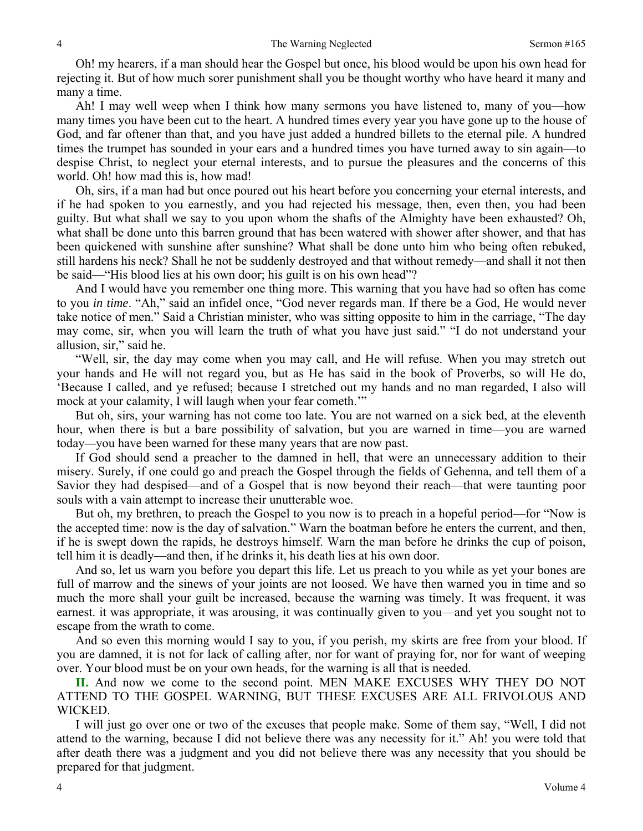Oh! my hearers, if a man should hear the Gospel but once, his blood would be upon his own head for rejecting it. But of how much sorer punishment shall you be thought worthy who have heard it many and many a time.

Ah! I may well weep when I think how many sermons you have listened to, many of you—how many times you have been cut to the heart. A hundred times every year you have gone up to the house of God, and far oftener than that, and you have just added a hundred billets to the eternal pile. A hundred times the trumpet has sounded in your ears and a hundred times you have turned away to sin again—to despise Christ, to neglect your eternal interests, and to pursue the pleasures and the concerns of this world. Oh! how mad this is, how mad!

Oh, sirs, if a man had but once poured out his heart before you concerning your eternal interests, and if he had spoken to you earnestly, and you had rejected his message, then, even then, you had been guilty. But what shall we say to you upon whom the shafts of the Almighty have been exhausted? Oh, what shall be done unto this barren ground that has been watered with shower after shower, and that has been quickened with sunshine after sunshine? What shall be done unto him who being often rebuked, still hardens his neck? Shall he not be suddenly destroyed and that without remedy—and shall it not then be said—"His blood lies at his own door; his guilt is on his own head"?

And I would have you remember one thing more. This warning that you have had so often has come to you *in time*. "Ah," said an infidel once, "God never regards man. If there be a God, He would never take notice of men." Said a Christian minister, who was sitting opposite to him in the carriage, "The day may come, sir, when you will learn the truth of what you have just said." "I do not understand your allusion, sir," said he.

"Well, sir, the day may come when you may call, and He will refuse. When you may stretch out your hands and He will not regard you, but as He has said in the book of Proverbs, so will He do, 'Because I called, and ye refused; because I stretched out my hands and no man regarded, I also will mock at your calamity, I will laugh when your fear cometh.'"

But oh, sirs, your warning has not come too late. You are not warned on a sick bed, at the eleventh hour, when there is but a bare possibility of salvation, but you are warned in time—you are warned today*—*you have been warned for these many years that are now past.

If God should send a preacher to the damned in hell, that were an unnecessary addition to their misery. Surely, if one could go and preach the Gospel through the fields of Gehenna, and tell them of a Savior they had despised—and of a Gospel that is now beyond their reach—that were taunting poor souls with a vain attempt to increase their unutterable woe.

But oh, my brethren, to preach the Gospel to you now is to preach in a hopeful period—for "Now is the accepted time: now is the day of salvation." Warn the boatman before he enters the current, and then, if he is swept down the rapids, he destroys himself. Warn the man before he drinks the cup of poison, tell him it is deadly—and then, if he drinks it, his death lies at his own door.

And so, let us warn you before you depart this life. Let us preach to you while as yet your bones are full of marrow and the sinews of your joints are not loosed. We have then warned you in time and so much the more shall your guilt be increased, because the warning was timely. It was frequent, it was earnest. it was appropriate, it was arousing, it was continually given to you—and yet you sought not to escape from the wrath to come.

And so even this morning would I say to you, if you perish, my skirts are free from your blood. If you are damned, it is not for lack of calling after, nor for want of praying for, nor for want of weeping over. Your blood must be on your own heads, for the warning is all that is needed.

**II.** And now we come to the second point. MEN MAKE EXCUSES WHY THEY DO NOT ATTEND TO THE GOSPEL WARNING, BUT THESE EXCUSES ARE ALL FRIVOLOUS AND WICKED.

I will just go over one or two of the excuses that people make. Some of them say, "Well, I did not attend to the warning, because I did not believe there was any necessity for it." Ah! you were told that after death there was a judgment and you did not believe there was any necessity that you should be prepared for that judgment.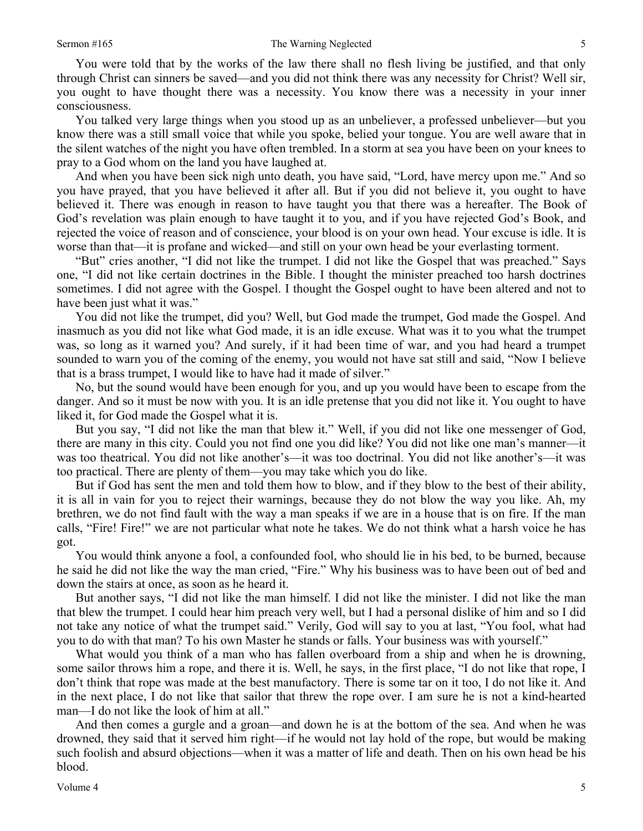You were told that by the works of the law there shall no flesh living be justified, and that only through Christ can sinners be saved—and you did not think there was any necessity for Christ? Well sir, you ought to have thought there was a necessity. You know there was a necessity in your inner consciousness.

You talked very large things when you stood up as an unbeliever, a professed unbeliever—but you know there was a still small voice that while you spoke, belied your tongue. You are well aware that in the silent watches of the night you have often trembled. In a storm at sea you have been on your knees to pray to a God whom on the land you have laughed at.

And when you have been sick nigh unto death, you have said, "Lord, have mercy upon me." And so you have prayed, that you have believed it after all. But if you did not believe it, you ought to have believed it. There was enough in reason to have taught you that there was a hereafter. The Book of God's revelation was plain enough to have taught it to you, and if you have rejected God's Book, and rejected the voice of reason and of conscience, your blood is on your own head. Your excuse is idle. It is worse than that—it is profane and wicked—and still on your own head be your everlasting torment.

"But" cries another, "I did not like the trumpet. I did not like the Gospel that was preached." Says one, "I did not like certain doctrines in the Bible. I thought the minister preached too harsh doctrines sometimes. I did not agree with the Gospel. I thought the Gospel ought to have been altered and not to have been just what it was."

You did not like the trumpet, did you? Well, but God made the trumpet, God made the Gospel. And inasmuch as you did not like what God made, it is an idle excuse. What was it to you what the trumpet was, so long as it warned you? And surely, if it had been time of war, and you had heard a trumpet sounded to warn you of the coming of the enemy, you would not have sat still and said, "Now I believe that is a brass trumpet, I would like to have had it made of silver."

No, but the sound would have been enough for you, and up you would have been to escape from the danger. And so it must be now with you. It is an idle pretense that you did not like it. You ought to have liked it, for God made the Gospel what it is.

But you say, "I did not like the man that blew it." Well, if you did not like one messenger of God, there are many in this city. Could you not find one you did like? You did not like one man's manner—it was too theatrical. You did not like another's—it was too doctrinal. You did not like another's—it was too practical. There are plenty of them—you may take which you do like.

But if God has sent the men and told them how to blow, and if they blow to the best of their ability, it is all in vain for you to reject their warnings, because they do not blow the way you like. Ah, my brethren, we do not find fault with the way a man speaks if we are in a house that is on fire. If the man calls, "Fire! Fire!" we are not particular what note he takes. We do not think what a harsh voice he has got.

You would think anyone a fool, a confounded fool, who should lie in his bed, to be burned, because he said he did not like the way the man cried, "Fire." Why his business was to have been out of bed and down the stairs at once, as soon as he heard it.

But another says, "I did not like the man himself. I did not like the minister. I did not like the man that blew the trumpet. I could hear him preach very well, but I had a personal dislike of him and so I did not take any notice of what the trumpet said." Verily, God will say to you at last, "You fool, what had you to do with that man? To his own Master he stands or falls. Your business was with yourself."

What would you think of a man who has fallen overboard from a ship and when he is drowning, some sailor throws him a rope, and there it is. Well, he says, in the first place, "I do not like that rope, I don't think that rope was made at the best manufactory. There is some tar on it too, I do not like it. And in the next place, I do not like that sailor that threw the rope over. I am sure he is not a kind-hearted man—I do not like the look of him at all."

And then comes a gurgle and a groan—and down he is at the bottom of the sea. And when he was drowned, they said that it served him right—if he would not lay hold of the rope, but would be making such foolish and absurd objections—when it was a matter of life and death. Then on his own head be his blood.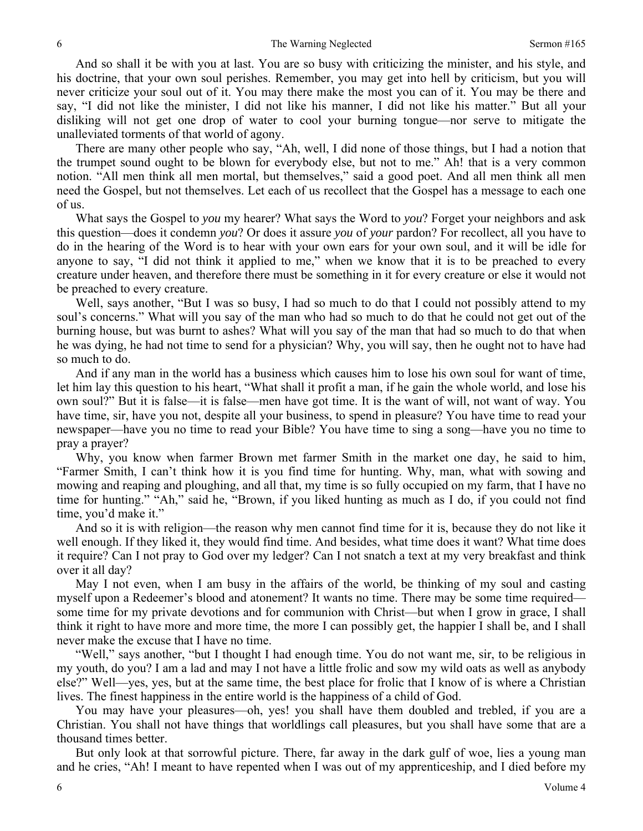And so shall it be with you at last. You are so busy with criticizing the minister, and his style, and his doctrine, that your own soul perishes. Remember, you may get into hell by criticism, but you will never criticize your soul out of it. You may there make the most you can of it. You may be there and say, "I did not like the minister, I did not like his manner, I did not like his matter." But all your disliking will not get one drop of water to cool your burning tongue—nor serve to mitigate the unalleviated torments of that world of agony.

There are many other people who say, "Ah, well, I did none of those things, but I had a notion that the trumpet sound ought to be blown for everybody else, but not to me." Ah! that is a very common notion. "All men think all men mortal, but themselves," said a good poet. And all men think all men need the Gospel, but not themselves. Let each of us recollect that the Gospel has a message to each one of us.

What says the Gospel to *you* my hearer? What says the Word to *you*? Forget your neighbors and ask this question—does it condemn *you*? Or does it assure *you* of *your* pardon? For recollect, all you have to do in the hearing of the Word is to hear with your own ears for your own soul, and it will be idle for anyone to say, "I did not think it applied to me," when we know that it is to be preached to every creature under heaven, and therefore there must be something in it for every creature or else it would not be preached to every creature.

Well, says another, "But I was so busy, I had so much to do that I could not possibly attend to my soul's concerns." What will you say of the man who had so much to do that he could not get out of the burning house, but was burnt to ashes? What will you say of the man that had so much to do that when he was dying, he had not time to send for a physician? Why, you will say, then he ought not to have had so much to do.

And if any man in the world has a business which causes him to lose his own soul for want of time, let him lay this question to his heart, "What shall it profit a man, if he gain the whole world, and lose his own soul?" But it is false—it is false—men have got time. It is the want of will, not want of way. You have time, sir, have you not, despite all your business, to spend in pleasure? You have time to read your newspaper—have you no time to read your Bible? You have time to sing a song—have you no time to pray a prayer?

Why, you know when farmer Brown met farmer Smith in the market one day, he said to him, "Farmer Smith, I can't think how it is you find time for hunting. Why, man, what with sowing and mowing and reaping and ploughing, and all that, my time is so fully occupied on my farm, that I have no time for hunting." "Ah," said he, "Brown, if you liked hunting as much as I do, if you could not find time, you'd make it."

And so it is with religion—the reason why men cannot find time for it is, because they do not like it well enough. If they liked it, they would find time. And besides, what time does it want? What time does it require? Can I not pray to God over my ledger? Can I not snatch a text at my very breakfast and think over it all day?

May I not even, when I am busy in the affairs of the world, be thinking of my soul and casting myself upon a Redeemer's blood and atonement? It wants no time. There may be some time required some time for my private devotions and for communion with Christ—but when I grow in grace, I shall think it right to have more and more time, the more I can possibly get, the happier I shall be, and I shall never make the excuse that I have no time.

"Well," says another, "but I thought I had enough time. You do not want me, sir, to be religious in my youth, do you? I am a lad and may I not have a little frolic and sow my wild oats as well as anybody else?" Well—yes, yes, but at the same time, the best place for frolic that I know of is where a Christian lives. The finest happiness in the entire world is the happiness of a child of God.

You may have your pleasures—oh, yes! you shall have them doubled and trebled, if you are a Christian. You shall not have things that worldlings call pleasures, but you shall have some that are a thousand times better.

But only look at that sorrowful picture. There, far away in the dark gulf of woe, lies a young man and he cries, "Ah! I meant to have repented when I was out of my apprenticeship, and I died before my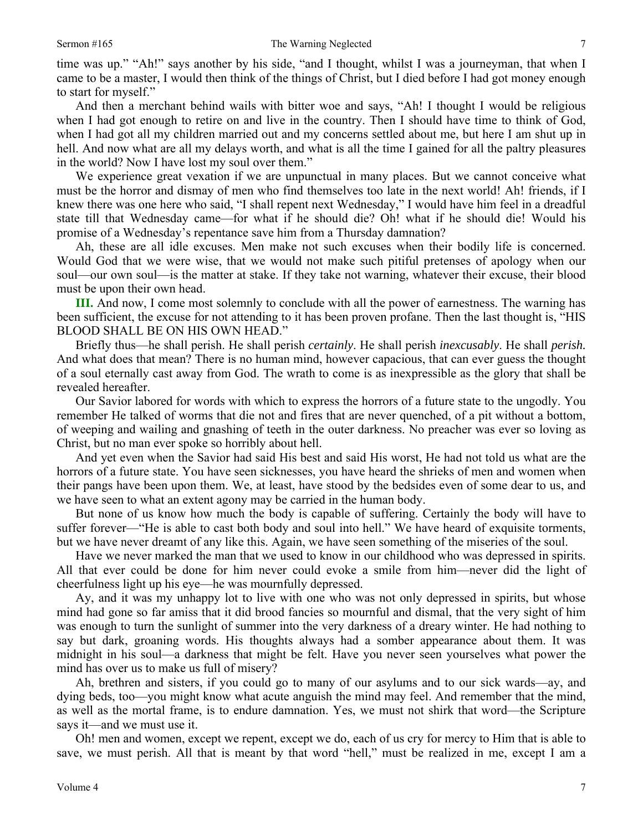time was up." "Ah!" says another by his side, "and I thought, whilst I was a journeyman, that when I came to be a master, I would then think of the things of Christ, but I died before I had got money enough to start for myself."

And then a merchant behind wails with bitter woe and says, "Ah! I thought I would be religious when I had got enough to retire on and live in the country. Then I should have time to think of God, when I had got all my children married out and my concerns settled about me, but here I am shut up in hell. And now what are all my delays worth, and what is all the time I gained for all the paltry pleasures in the world? Now I have lost my soul over them."

We experience great vexation if we are unpunctual in many places. But we cannot conceive what must be the horror and dismay of men who find themselves too late in the next world! Ah! friends, if I knew there was one here who said, "I shall repent next Wednesday," I would have him feel in a dreadful state till that Wednesday came—for what if he should die? Oh! what if he should die! Would his promise of a Wednesday's repentance save him from a Thursday damnation?

Ah, these are all idle excuses. Men make not such excuses when their bodily life is concerned. Would God that we were wise, that we would not make such pitiful pretenses of apology when our soul—our own soul—is the matter at stake. If they take not warning, whatever their excuse, their blood must be upon their own head.

**III.** And now, I come most solemnly to conclude with all the power of earnestness. The warning has been sufficient, the excuse for not attending to it has been proven profane. Then the last thought is, "HIS BLOOD SHALL BE ON HIS OWN HEAD."

Briefly thus—he shall perish. He shall perish *certainly*. He shall perish *inexcusably*. He shall *perish.* And what does that mean? There is no human mind, however capacious, that can ever guess the thought of a soul eternally cast away from God. The wrath to come is as inexpressible as the glory that shall be revealed hereafter.

Our Savior labored for words with which to express the horrors of a future state to the ungodly. You remember He talked of worms that die not and fires that are never quenched, of a pit without a bottom, of weeping and wailing and gnashing of teeth in the outer darkness. No preacher was ever so loving as Christ, but no man ever spoke so horribly about hell.

And yet even when the Savior had said His best and said His worst, He had not told us what are the horrors of a future state. You have seen sicknesses, you have heard the shrieks of men and women when their pangs have been upon them. We, at least, have stood by the bedsides even of some dear to us, and we have seen to what an extent agony may be carried in the human body.

But none of us know how much the body is capable of suffering. Certainly the body will have to suffer forever—"He is able to cast both body and soul into hell." We have heard of exquisite torments, but we have never dreamt of any like this. Again, we have seen something of the miseries of the soul.

Have we never marked the man that we used to know in our childhood who was depressed in spirits. All that ever could be done for him never could evoke a smile from him—never did the light of cheerfulness light up his eye—he was mournfully depressed.

Ay, and it was my unhappy lot to live with one who was not only depressed in spirits, but whose mind had gone so far amiss that it did brood fancies so mournful and dismal, that the very sight of him was enough to turn the sunlight of summer into the very darkness of a dreary winter. He had nothing to say but dark, groaning words. His thoughts always had a somber appearance about them. It was midnight in his soul—a darkness that might be felt. Have you never seen yourselves what power the mind has over us to make us full of misery?

Ah, brethren and sisters, if you could go to many of our asylums and to our sick wards—ay, and dying beds, too—you might know what acute anguish the mind may feel. And remember that the mind, as well as the mortal frame, is to endure damnation. Yes, we must not shirk that word—the Scripture says it—and we must use it.

Oh! men and women, except we repent, except we do, each of us cry for mercy to Him that is able to save, we must perish. All that is meant by that word "hell," must be realized in me, except I am a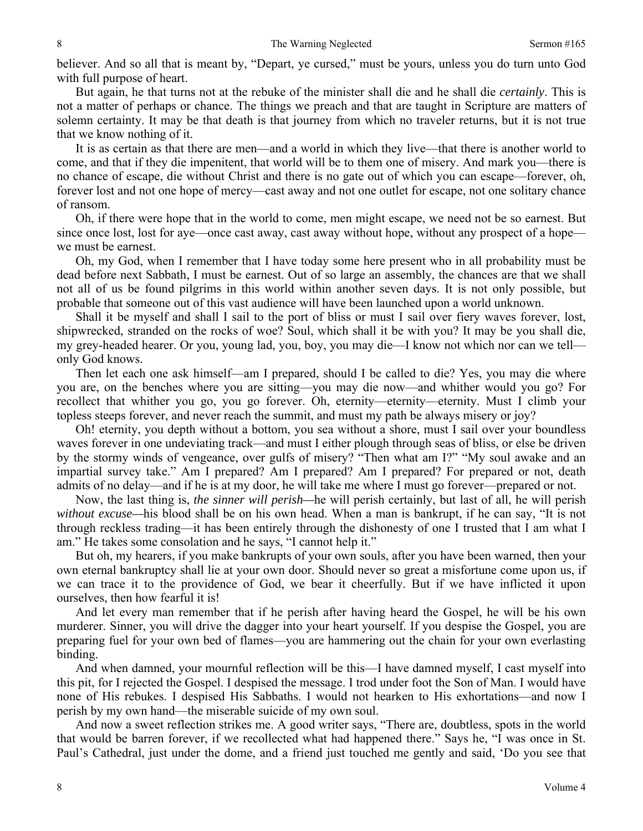believer. And so all that is meant by, "Depart, ye cursed," must be yours, unless you do turn unto God with full purpose of heart.

But again, he that turns not at the rebuke of the minister shall die and he shall die *certainly*. This is not a matter of perhaps or chance. The things we preach and that are taught in Scripture are matters of solemn certainty. It may be that death is that journey from which no traveler returns, but it is not true that we know nothing of it.

It is as certain as that there are men—and a world in which they live—that there is another world to come, and that if they die impenitent, that world will be to them one of misery. And mark you—there is no chance of escape, die without Christ and there is no gate out of which you can escape—forever, oh, forever lost and not one hope of mercy—cast away and not one outlet for escape, not one solitary chance of ransom.

Oh, if there were hope that in the world to come, men might escape, we need not be so earnest. But since once lost, lost for aye—once cast away, cast away without hope, without any prospect of a hope we must be earnest.

Oh, my God, when I remember that I have today some here present who in all probability must be dead before next Sabbath, I must be earnest. Out of so large an assembly, the chances are that we shall not all of us be found pilgrims in this world within another seven days. It is not only possible, but probable that someone out of this vast audience will have been launched upon a world unknown.

Shall it be myself and shall I sail to the port of bliss or must I sail over fiery waves forever, lost, shipwrecked, stranded on the rocks of woe? Soul, which shall it be with you? It may be you shall die, my grey-headed hearer. Or you, young lad, you, boy, you may die—I know not which nor can we tell only God knows.

Then let each one ask himself—am I prepared, should I be called to die? Yes, you may die where you are, on the benches where you are sitting—you may die now—and whither would you go? For recollect that whither you go, you go forever. Oh, eternity—eternity—eternity. Must I climb your topless steeps forever, and never reach the summit, and must my path be always misery or joy?

Oh! eternity, you depth without a bottom, you sea without a shore, must I sail over your boundless waves forever in one undeviating track—and must I either plough through seas of bliss, or else be driven by the stormy winds of vengeance, over gulfs of misery? "Then what am I?" "My soul awake and an impartial survey take." Am I prepared? Am I prepared? Am I prepared? For prepared or not, death admits of no delay—and if he is at my door, he will take me where I must go forever—prepared or not.

Now, the last thing is, *the sinner will perish—*he will perish certainly, but last of all, he will perish *without excuse—*his blood shall be on his own head. When a man is bankrupt, if he can say, "It is not through reckless trading—it has been entirely through the dishonesty of one I trusted that I am what I am." He takes some consolation and he says, "I cannot help it."

But oh, my hearers, if you make bankrupts of your own souls, after you have been warned, then your own eternal bankruptcy shall lie at your own door. Should never so great a misfortune come upon us, if we can trace it to the providence of God, we bear it cheerfully. But if we have inflicted it upon ourselves, then how fearful it is!

And let every man remember that if he perish after having heard the Gospel, he will be his own murderer. Sinner, you will drive the dagger into your heart yourself. If you despise the Gospel, you are preparing fuel for your own bed of flames—you are hammering out the chain for your own everlasting binding.

And when damned, your mournful reflection will be this—I have damned myself, I cast myself into this pit, for I rejected the Gospel. I despised the message. I trod under foot the Son of Man. I would have none of His rebukes. I despised His Sabbaths. I would not hearken to His exhortations—and now I perish by my own hand—the miserable suicide of my own soul.

And now a sweet reflection strikes me. A good writer says, "There are, doubtless, spots in the world that would be barren forever, if we recollected what had happened there." Says he, "I was once in St. Paul's Cathedral, just under the dome, and a friend just touched me gently and said, 'Do you see that